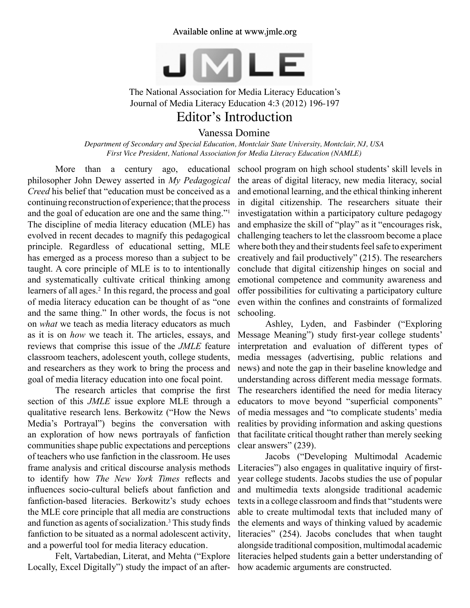## Available online at www.jmle.org



The National Association for Media Literacy Education's Journal of Media Literacy Education 4:3 (2012) 196-197

## Editor's Introduction

Vanessa Domine

*Department of Secondary and Special Education, Montclair State University, Montclair, NJ, USA First Vice President, National Association for Media Literacy Education (NAMLE)*

More than a century ago, educational philosopher John Dewey asserted in *My Pedagogical Creed* his belief that "education must be conceived as a continuing reconstruction of experience; that the process and the goal of education are one and the same thing."1 The discipline of media literacy education (MLE) has evolved in recent decades to magnify this pedagogical principle. Regardless of educational setting, MLE has emerged as a process moreso than a subject to be taught. A core principle of MLE is to to intentionally and systematically cultivate critical thinking among learners of all ages.<sup>2</sup> In this regard, the process and goal of media literacy education can be thought of as "one and the same thing." In other words, the focus is not on *what* we teach as media literacy educators as much as it is on *how* we teach it. The articles, essays, and reviews that comprise this issue of the *JMLE* feature classroom teachers, adolescent youth, college students, and researchers as they work to bring the process and goal of media literacy education into one focal point.

 The research articles that comprise the first section of this *JMLE* issue explore MLE through a qualitative research lens. Berkowitz ("How the News Media's Portrayal") begins the conversation with an exploration of how news portrayals of fanfiction communities shape public expectations and perceptions of teachers who use fanfiction in the classroom. He uses frame analysis and critical discourse analysis methods to identify how *The New York Times* reflects and influences socio-cultural beliefs about fanfiction and fanfiction-based literacies. Berkowitz's study echoes the MLE core principle that all media are constructions and function as agents of socialization.<sup>3</sup> This study finds fanfiction to be situated as a normal adolescent activity, and a powerful tool for media literacy education.

Felt, Vartabedian, Literat, and Mehta ("Explore Locally, Excel Digitally") study the impact of an after-

school program on high school students' skill levels in the areas of digital literacy, new media literacy, social and emotional learning, and the ethical thinking inherent in digital citizenship. The researchers situate their investigatation within a participatory culture pedagogy and emphasize the skill of "play" as it "encourages risk, challenging teachers to let the classroom become a place where both they and their students feel safe to experiment creatively and fail productively" (215). The researchers conclude that digital citizenship hinges on social and emotional competence and community awareness and offer possibilities for cultivating a participatory culture even within the confines and constraints of formalized schooling.

Ashley, Lyden, and Fasbinder ("Exploring Message Meaning") study first-year college students' interpretation and evaluation of different types of media messages (advertising, public relations and news) and note the gap in their baseline knowledge and understanding across different media message formats. The researchers identified the need for media literacy educators to move beyond "superficial components" of media messages and "to complicate students' media realities by providing information and asking questions that facilitate critical thought rather than merely seeking clear answers" (239).

Jacobs ("Developing Multimodal Academic Literacies") also engages in qualitative inquiry of firstyear college students. Jacobs studies the use of popular and multimedia texts alongside traditional academic texts in a college classroom and finds that "students were able to create multimodal texts that included many of the elements and ways of thinking valued by academic literacies" (254). Jacobs concludes that when taught alongside traditional composition, multimodal academic literacies helped students gain a better understanding of how academic arguments are constructed.